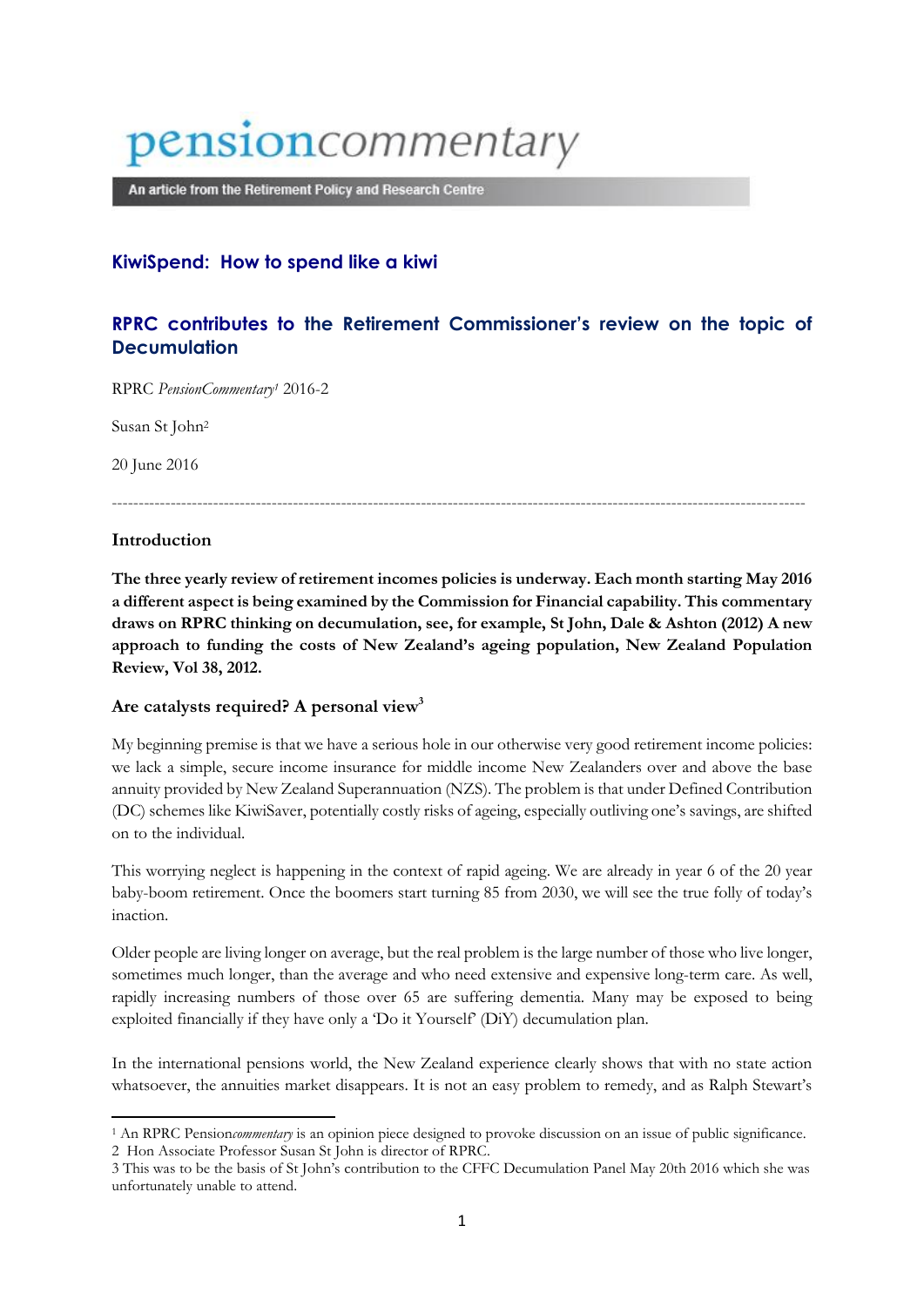# pensioncommentary

An article from the Retirement Policy and Research Centre

## **KiwiSpend: How to spend like a kiwi**

# **RPRC contributes to the Retirement Commissioner's review on the topic of Decumulation**

RPRC *PensionCommentary<sup>1</sup>* 2016-2

Susan St John<sup>2</sup>

20 June 2016

## ----------------------------------------------------------------------------------------------------------------------------------

### **Introduction**

**The three yearly review of retirement incomes policies is underway. Each month starting May 2016 a different aspect is being examined by the Commission for Financial capability. This commentary draws on RPRC thinking on decumulation, see, for example, St John, Dale & Ashton (2012) A new approach to funding the costs of New Zealand's ageing population, New Zealand Population Review, Vol 38, 2012.**

### **Are catalysts required? A personal view<sup>3</sup>**

My beginning premise is that we have a serious hole in our otherwise very good retirement income policies: we lack a simple, secure income insurance for middle income New Zealanders over and above the base annuity provided by New Zealand Superannuation (NZS). The problem is that under Defined Contribution (DC) schemes like KiwiSaver, potentially costly risks of ageing, especially outliving one's savings, are shifted on to the individual.

This worrying neglect is happening in the context of rapid ageing. We are already in year 6 of the 20 year baby-boom retirement. Once the boomers start turning 85 from 2030, we will see the true folly of today's inaction.

Older people are living longer on average, but the real problem is the large number of those who live longer, sometimes much longer, than the average and who need extensive and expensive long-term care. As well, rapidly increasing numbers of those over 65 are suffering dementia. Many may be exposed to being exploited financially if they have only a 'Do it Yourself' (DiY) decumulation plan.

In the international pensions world, the New Zealand experience clearly shows that with no state action whatsoever, the annuities market disappears. It is not an easy problem to remedy, and as Ralph Stewart's

<sup>1</sup> <sup>1</sup> An RPRC Pension*commentary* is an opinion piece designed to provoke discussion on an issue of public significance. 2 Hon Associate Professor Susan St John is director of RPRC.

<sup>3</sup> This was to be the basis of St John's contribution to the CFFC Decumulation Panel May 20th 2016 which she was unfortunately unable to attend.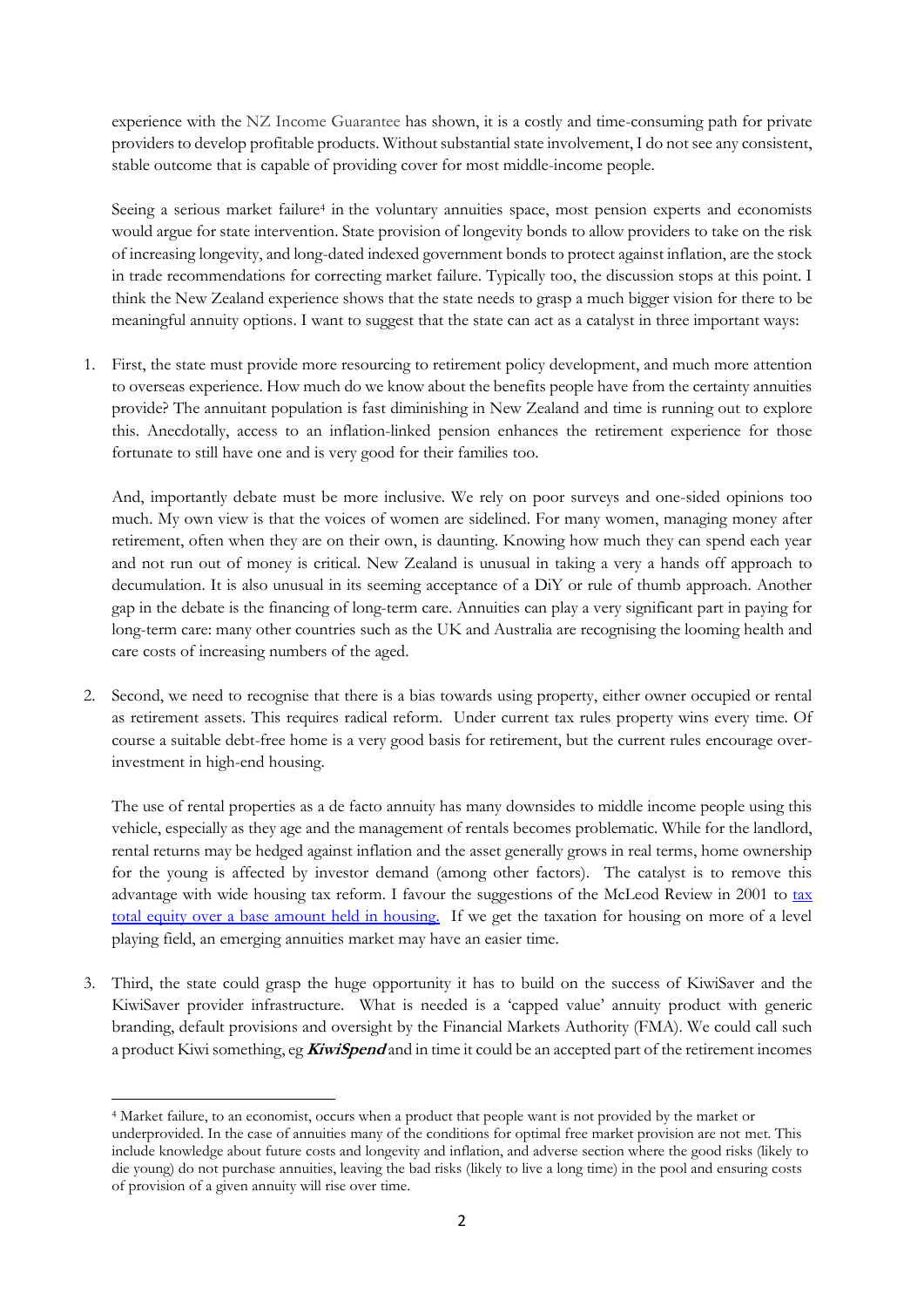experience with the NZ Income Guarantee has shown, it is a costly and time-consuming path for private providers to develop profitable products. Without substantial state involvement, I do not see any consistent, stable outcome that is capable of providing cover for most middle-income people.

Seeing a serious market failure<sup>4</sup> in the voluntary annuities space, most pension experts and economists would argue for state intervention. State provision of longevity bonds to allow providers to take on the risk of increasing longevity, and long-dated indexed government bonds to protect against inflation, are the stock in trade recommendations for correcting market failure. Typically too, the discussion stops at this point. I think the New Zealand experience shows that the state needs to grasp a much bigger vision for there to be meaningful annuity options. I want to suggest that the state can act as a catalyst in three important ways:

1. First, the state must provide more resourcing to retirement policy development, and much more attention to overseas experience. How much do we know about the benefits people have from the certainty annuities provide? The annuitant population is fast diminishing in New Zealand and time is running out to explore this. Anecdotally, access to an inflation-linked pension enhances the retirement experience for those fortunate to still have one and is very good for their families too.

And, importantly debate must be more inclusive. We rely on poor surveys and one-sided opinions too much. My own view is that the voices of women are sidelined. For many women, managing money after retirement, often when they are on their own, is daunting. Knowing how much they can spend each year and not run out of money is critical. New Zealand is unusual in taking a very a hands off approach to decumulation. It is also unusual in its seeming acceptance of a DiY or rule of thumb approach. Another gap in the debate is the financing of long-term care. Annuities can play a very significant part in paying for long-term care: many other countries such as the UK and Australia are recognising the looming health and care costs of increasing numbers of the aged.

2. Second, we need to recognise that there is a bias towards using property, either owner occupied or rental as retirement assets. This requires radical reform. Under current tax rules property wins every time. Of course a suitable debt-free home is a very good basis for retirement, but the current rules encourage overinvestment in high-end housing.

The use of rental properties as a de facto annuity has many downsides to middle income people using this vehicle, especially as they age and the management of rentals becomes problematic. While for the landlord, rental returns may be hedged against inflation and the asset generally grows in real terms, home ownership for the young is affected by investor demand (among other factors). The catalyst is to remove this advantage with wide housing tax reform. I favour the suggestions of the McLeod Review in 2001 to [tax](http://thedailyblog.co.nz/2016/04/29/good-policy-is-rarely-done-on-the-run/)  [total equity over a base amount held in housing.](http://thedailyblog.co.nz/2016/04/29/good-policy-is-rarely-done-on-the-run/) If we get the taxation for housing on more of a level playing field, an emerging annuities market may have an easier time.

3. Third, the state could grasp the huge opportunity it has to build on the success of KiwiSaver and the KiwiSaver provider infrastructure. What is needed is a 'capped value' annuity product with generic branding, default provisions and oversight by the Financial Markets Authority (FMA). We could call such a product Kiwi something, eg **KiwiSpend** and in time it could be an accepted part of the retirement incomes

<sup>1</sup> <sup>4</sup> Market failure, to an economist, occurs when a product that people want is not provided by the market or underprovided. In the case of annuities many of the conditions for optimal free market provision are not met. This include knowledge about future costs and longevity and inflation, and adverse section where the good risks (likely to die young) do not purchase annuities, leaving the bad risks (likely to live a long time) in the pool and ensuring costs of provision of a given annuity will rise over time.